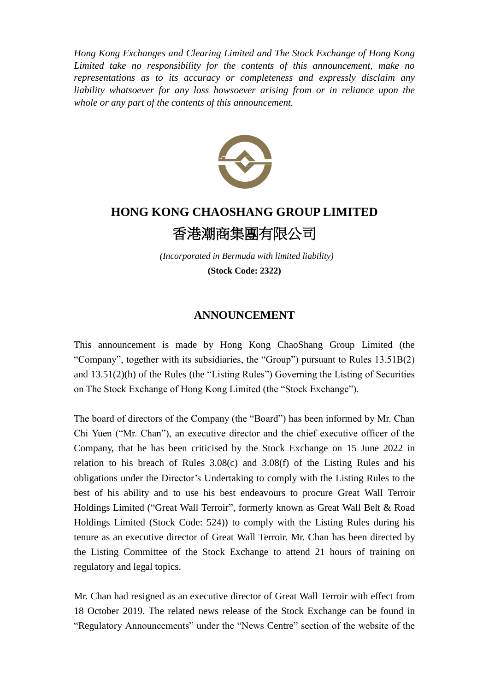*Hong Kong Exchanges and Clearing Limited and The Stock Exchange of Hong Kong Limited take no responsibility for the contents of this announcement, make no representations as to its accuracy or completeness and expressly disclaim any liability whatsoever for any loss howsoever arising from or in reliance upon the whole or any part of the contents of this announcement.*



## **HONG KONG CHAOSHANG GROUP LIMITED** 香港潮商集團有限公司

*(Incorporated in Bermuda with limited liability)* **(Stock Code: 2322)**

## **ANNOUNCEMENT**

This announcement is made by Hong Kong ChaoShang Group Limited (the "Company", together with its subsidiaries, the "Group") pursuant to Rules 13.51B(2) and 13.51(2)(h) of the Rules (the "Listing Rules") Governing the Listing of Securities on The Stock Exchange of Hong Kong Limited (the "Stock Exchange").

The board of directors of the Company (the "Board") has been informed by Mr. Chan Chi Yuen ("Mr. Chan"), an executive director and the chief executive officer of the Company, that he has been criticised by the Stock Exchange on 15 June 2022 in relation to his breach of Rules 3.08(c) and 3.08(f) of the Listing Rules and his obligations under the Director's Undertaking to comply with the Listing Rules to the best of his ability and to use his best endeavours to procure Great Wall Terroir Holdings Limited ("Great Wall Terroir", formerly known as Great Wall Belt & Road Holdings Limited (Stock Code: 524)) to comply with the Listing Rules during his tenure as an executive director of Great Wall Terroir. Mr. Chan has been directed by the Listing Committee of the Stock Exchange to attend 21 hours of training on regulatory and legal topics.

Mr. Chan had resigned as an executive director of Great Wall Terroir with effect from 18 October 2019. The related news release of the Stock Exchange can be found in "Regulatory Announcements" under the "News Centre" section of the website of the